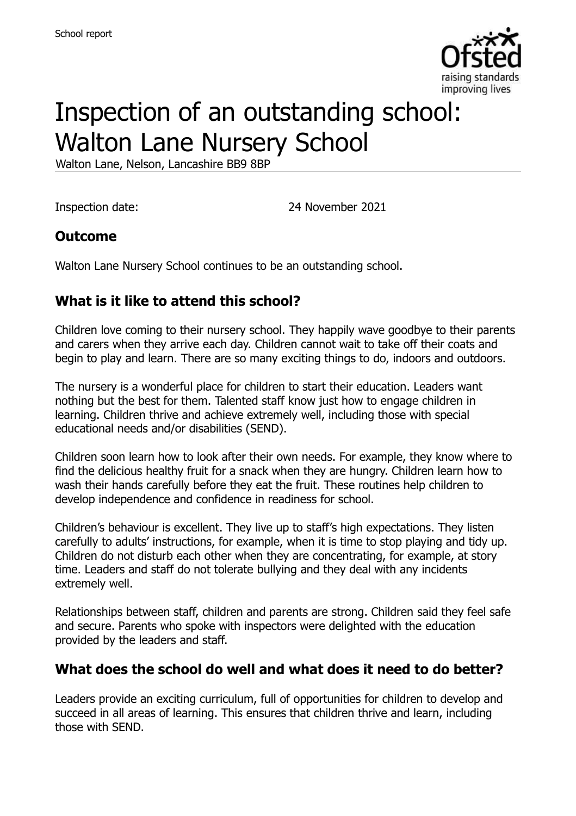

# Inspection of an outstanding school: Walton Lane Nursery School

Walton Lane, Nelson, Lancashire BB9 8BP

Inspection date: 24 November 2021

### **Outcome**

Walton Lane Nursery School continues to be an outstanding school.

# **What is it like to attend this school?**

Children love coming to their nursery school. They happily wave goodbye to their parents and carers when they arrive each day. Children cannot wait to take off their coats and begin to play and learn. There are so many exciting things to do, indoors and outdoors.

The nursery is a wonderful place for children to start their education. Leaders want nothing but the best for them. Talented staff know just how to engage children in learning. Children thrive and achieve extremely well, including those with special educational needs and/or disabilities (SEND).

Children soon learn how to look after their own needs. For example, they know where to find the delicious healthy fruit for a snack when they are hungry. Children learn how to wash their hands carefully before they eat the fruit. These routines help children to develop independence and confidence in readiness for school.

Children's behaviour is excellent. They live up to staff's high expectations. They listen carefully to adults' instructions, for example, when it is time to stop playing and tidy up. Children do not disturb each other when they are concentrating, for example, at story time. Leaders and staff do not tolerate bullying and they deal with any incidents extremely well.

Relationships between staff, children and parents are strong. Children said they feel safe and secure. Parents who spoke with inspectors were delighted with the education provided by the leaders and staff.

### **What does the school do well and what does it need to do better?**

Leaders provide an exciting curriculum, full of opportunities for children to develop and succeed in all areas of learning. This ensures that children thrive and learn, including those with SEND.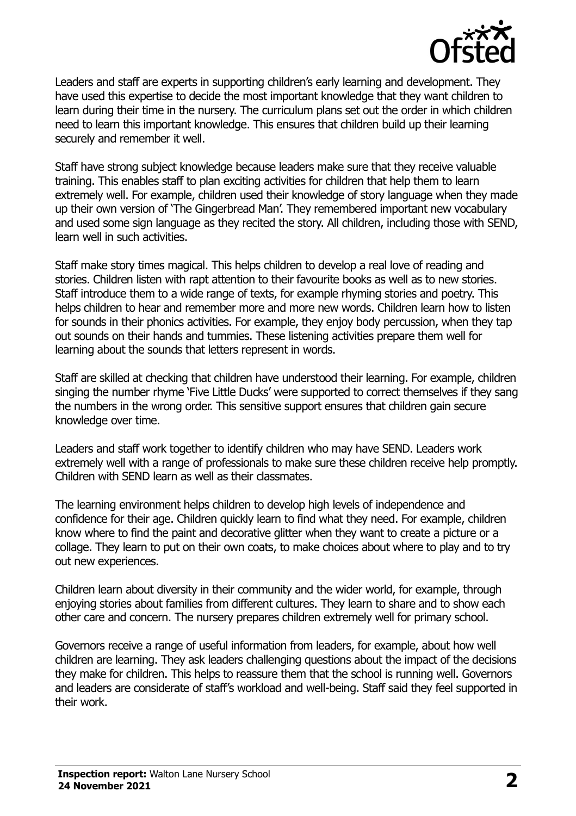

Leaders and staff are experts in supporting children's early learning and development. They have used this expertise to decide the most important knowledge that they want children to learn during their time in the nursery. The curriculum plans set out the order in which children need to learn this important knowledge. This ensures that children build up their learning securely and remember it well.

Staff have strong subject knowledge because leaders make sure that they receive valuable training. This enables staff to plan exciting activities for children that help them to learn extremely well. For example, children used their knowledge of story language when they made up their own version of 'The Gingerbread Man'. They remembered important new vocabulary and used some sign language as they recited the story. All children, including those with SEND, learn well in such activities.

Staff make story times magical. This helps children to develop a real love of reading and stories. Children listen with rapt attention to their favourite books as well as to new stories. Staff introduce them to a wide range of texts, for example rhyming stories and poetry. This helps children to hear and remember more and more new words. Children learn how to listen for sounds in their phonics activities. For example, they enjoy body percussion, when they tap out sounds on their hands and tummies. These listening activities prepare them well for learning about the sounds that letters represent in words.

Staff are skilled at checking that children have understood their learning. For example, children singing the number rhyme 'Five Little Ducks' were supported to correct themselves if they sang the numbers in the wrong order. This sensitive support ensures that children gain secure knowledge over time.

Leaders and staff work together to identify children who may have SEND. Leaders work extremely well with a range of professionals to make sure these children receive help promptly. Children with SEND learn as well as their classmates.

The learning environment helps children to develop high levels of independence and confidence for their age. Children quickly learn to find what they need. For example, children know where to find the paint and decorative glitter when they want to create a picture or a collage. They learn to put on their own coats, to make choices about where to play and to try out new experiences.

Children learn about diversity in their community and the wider world, for example, through enjoying stories about families from different cultures. They learn to share and to show each other care and concern. The nursery prepares children extremely well for primary school.

Governors receive a range of useful information from leaders, for example, about how well children are learning. They ask leaders challenging questions about the impact of the decisions they make for children. This helps to reassure them that the school is running well. Governors and leaders are considerate of staff's workload and well-being. Staff said they feel supported in their work.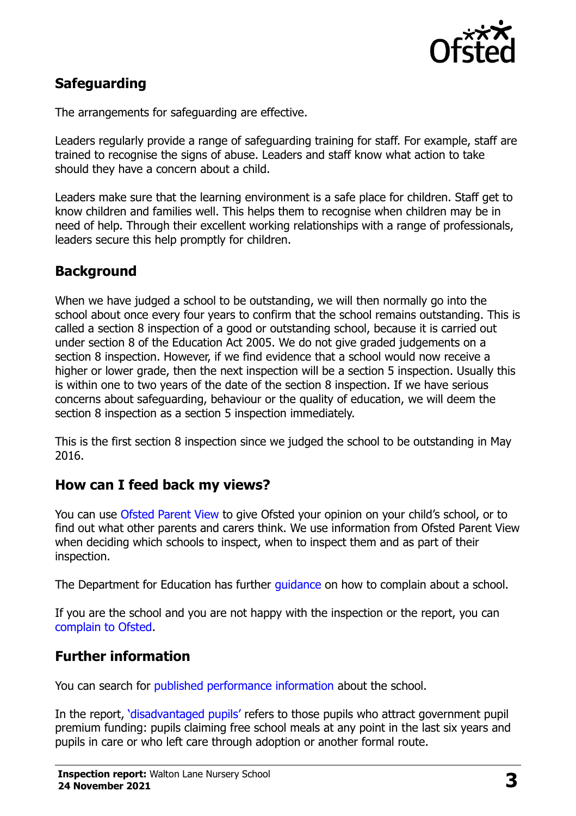

# **Safeguarding**

The arrangements for safeguarding are effective.

Leaders regularly provide a range of safeguarding training for staff. For example, staff are trained to recognise the signs of abuse. Leaders and staff know what action to take should they have a concern about a child.

Leaders make sure that the learning environment is a safe place for children. Staff get to know children and families well. This helps them to recognise when children may be in need of help. Through their excellent working relationships with a range of professionals, leaders secure this help promptly for children.

# **Background**

When we have judged a school to be outstanding, we will then normally go into the school about once every four years to confirm that the school remains outstanding. This is called a section 8 inspection of a good or outstanding school, because it is carried out under section 8 of the Education Act 2005. We do not give graded judgements on a section 8 inspection. However, if we find evidence that a school would now receive a higher or lower grade, then the next inspection will be a section 5 inspection. Usually this is within one to two years of the date of the section 8 inspection. If we have serious concerns about safeguarding, behaviour or the quality of education, we will deem the section 8 inspection as a section 5 inspection immediately.

This is the first section 8 inspection since we judged the school to be outstanding in May 2016.

### **How can I feed back my views?**

You can use [Ofsted Parent View](https://parentview.ofsted.gov.uk/) to give Ofsted your opinion on your child's school, or to find out what other parents and carers think. We use information from Ofsted Parent View when deciding which schools to inspect, when to inspect them and as part of their inspection.

The Department for Education has further *guidance* on how to complain about a school.

If you are the school and you are not happy with the inspection or the report, you can [complain to Ofsted.](https://www.gov.uk/complain-ofsted-report)

### **Further information**

You can search for [published performance information](http://www.compare-school-performance.service.gov.uk/) about the school.

In the report, '[disadvantaged pupils](http://www.gov.uk/guidance/pupil-premium-information-for-schools-and-alternative-provision-settings)' refers to those pupils who attract government pupil premium funding: pupils claiming free school meals at any point in the last six years and pupils in care or who left care through adoption or another formal route.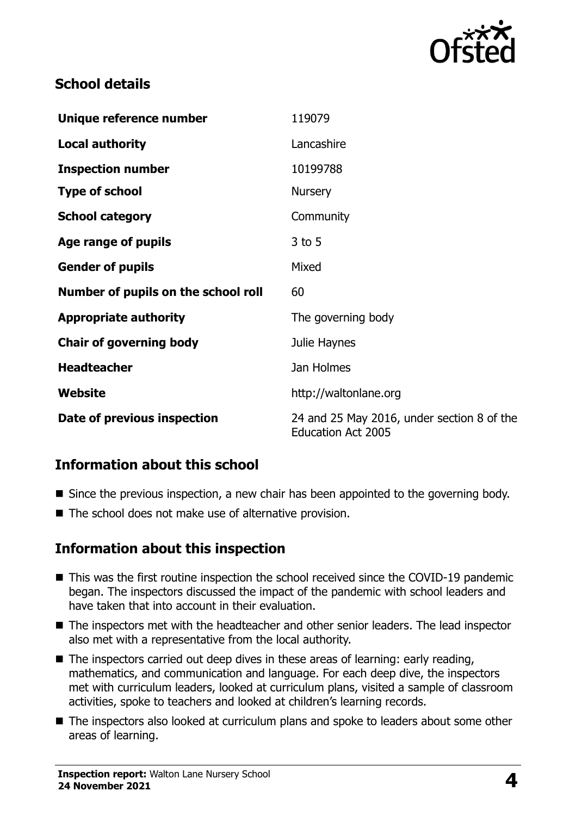

## **School details**

| Unique reference number             | 119079                                                                  |
|-------------------------------------|-------------------------------------------------------------------------|
| <b>Local authority</b>              | Lancashire                                                              |
| <b>Inspection number</b>            | 10199788                                                                |
| <b>Type of school</b>               | <b>Nursery</b>                                                          |
| <b>School category</b>              | Community                                                               |
| Age range of pupils                 | $3$ to 5                                                                |
| <b>Gender of pupils</b>             | Mixed                                                                   |
| Number of pupils on the school roll | 60                                                                      |
| <b>Appropriate authority</b>        | The governing body                                                      |
| <b>Chair of governing body</b>      | Julie Haynes                                                            |
| <b>Headteacher</b>                  | Jan Holmes                                                              |
| <b>Website</b>                      | http://waltonlane.org                                                   |
| Date of previous inspection         | 24 and 25 May 2016, under section 8 of the<br><b>Education Act 2005</b> |

### **Information about this school**

- Since the previous inspection, a new chair has been appointed to the governing body.
- The school does not make use of alternative provision.

### **Information about this inspection**

- This was the first routine inspection the school received since the COVID-19 pandemic began. The inspectors discussed the impact of the pandemic with school leaders and have taken that into account in their evaluation.
- The inspectors met with the headteacher and other senior leaders. The lead inspector also met with a representative from the local authority.
- $\blacksquare$  The inspectors carried out deep dives in these areas of learning: early reading, mathematics, and communication and language. For each deep dive, the inspectors met with curriculum leaders, looked at curriculum plans, visited a sample of classroom activities, spoke to teachers and looked at children's learning records.
- The inspectors also looked at curriculum plans and spoke to leaders about some other areas of learning.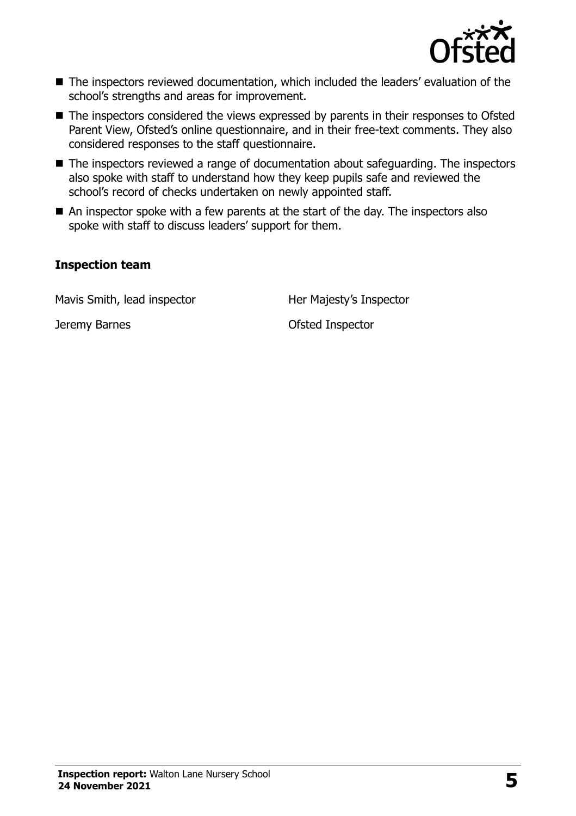

- The inspectors reviewed documentation, which included the leaders' evaluation of the school's strengths and areas for improvement.
- The inspectors considered the views expressed by parents in their responses to Ofsted Parent View, Ofsted's online questionnaire, and in their free-text comments. They also considered responses to the staff questionnaire.
- The inspectors reviewed a range of documentation about safeguarding. The inspectors also spoke with staff to understand how they keep pupils safe and reviewed the school's record of checks undertaken on newly appointed staff.
- An inspector spoke with a few parents at the start of the day. The inspectors also spoke with staff to discuss leaders' support for them.

#### **Inspection team**

Mavis Smith, lead inspector Her Majesty's Inspector

Jeremy Barnes Ofsted Inspector